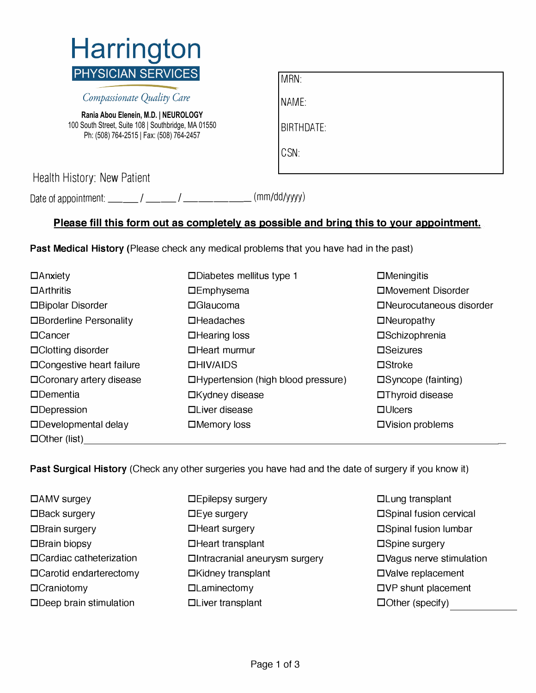

Compassionate Quality Care

**Rania Abou Elenein, M.D. | NEUROLOGY**  100 South Street, Suite 108 | Southbridge, MA 01550 Ph: (508) 764-2515 | Fax: (508) 764-2457

| MRN:              |
|-------------------|
| NAME:             |
| <b>BIRTHDATE:</b> |
| CSN:              |

Health History: New Patient

Date of appointment: \_\_\_\_\_\_/ \_\_\_\_\_\_/ \_\_\_\_\_\_\_\_\_\_\_\_\_\_\_\_\_\_\_\_ (mm/dd/yyyy)

## **Please fill this form out as completely as possible and bring this to your appointment.**

**Past Medical History** (Please check any medical problems that you have had in the past)

| $\Box$ Anxiety                  | $\square$ Diabetes mellitus type 1  | $\Box$ Meningitis            |  |
|---------------------------------|-------------------------------------|------------------------------|--|
| $\Box$ Arthritis                | <b>DEmphysema</b>                   | □Movement Disorder           |  |
| □Bipolar Disorder               | $\Box$ Glaucoma                     | □Neurocutaneous disorder     |  |
| □Borderline Personality         | $\Box$ Headaches                    | $\Box$ Neuropathy            |  |
| $\Box$ Cancer                   | $\Box$ Hearing loss                 | □Schizophrenia               |  |
| □Clotting disorder              | $\Box$ Heart murmur                 | $\square$ Seizures           |  |
| $\Box$ Congestive heart failure | DHIVAIDS                            | $\square$ Stroke             |  |
| $\Box$ Coronary artery disease  | □Hypertension (high blood pressure) | $\square$ Syncope (fainting) |  |
| $\Box$ Dementia                 | □Kydney disease                     | □Thyroid disease             |  |
| $\Box$ Depression               | □Liver disease                      | $\Box$ Ulcers                |  |
| $\Box$ Developmental delay      | $\Box$ Memory loss                  | □Vision problems             |  |
| $\Box$ Other (list)             |                                     |                              |  |

**Past Surgical History** (Check any other surgeries you have had and the date of surgery if you know it)

| $\Box$ AMV surgey             |
|-------------------------------|
| □Back surgery                 |
| □Brain surgery                |
| $\Box$ Brain biopsy           |
| □ Cardiac catheterization     |
| $\Box$ Carotid endarterectomy |
| □Craniotomy                   |
| $\Box$ Deen brain stimulation |

- **□**AMV surgey **□**Epilepsy surgery **□**Lung transplant **□**Back surgery **□** Eye surgery **□**Spinal fusion cervical □Brain surgery **□ □**Spinal fusion lumbar □Brain biopsy **□**Brain biopsy **□**Spine surgery □Intracranial aneurysm surgery □Vagus nerve stimulation □Carotid **□**Carotid **□**Valve replacement **□**Craniotomy **□**Laminectomy **□**VP shunt placement **Depayment □**Liver transplant **□ □**Other (specify)
-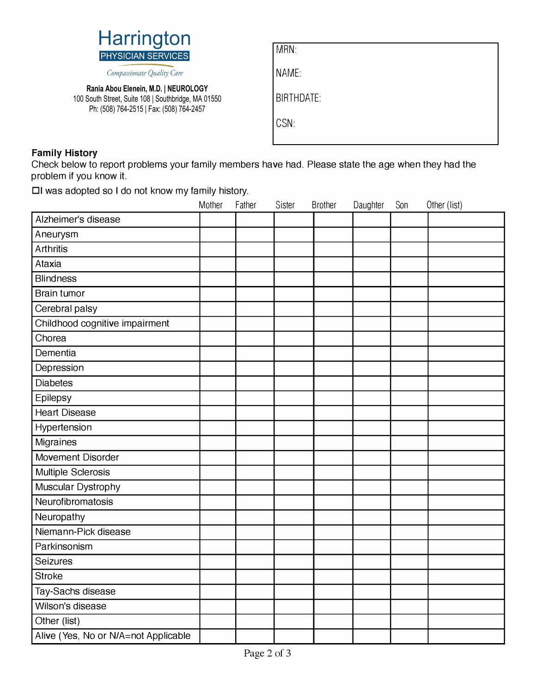

Compassionate Quality Care

**Rania Abou Elenein, M.D. | NEUROLOGY**  100 South Street, Suite 108 | Southbridge, MA 01550 Ph: (508) 764-2515 | Fax: (508) 764-2457

| MRN: |  |
|------|--|
|      |  |

NAME:

BIRTHDATE:

CSN:

## **Family History**

Check below to report problems your family members have had. Please state the age when they had the problem if you know it.

DI was adopted so I do not know my family history.

|                                      | Mother | Father | Sister | <b>Brother</b> | Daughter | Son | Other (list) |
|--------------------------------------|--------|--------|--------|----------------|----------|-----|--------------|
| Alzheimer's disease                  |        |        |        |                |          |     |              |
| Aneurysm                             |        |        |        |                |          |     |              |
| <b>Arthritis</b>                     |        |        |        |                |          |     |              |
| Ataxia                               |        |        |        |                |          |     |              |
| <b>Blindness</b>                     |        |        |        |                |          |     |              |
| <b>Brain tumor</b>                   |        |        |        |                |          |     |              |
| Cerebral palsy                       |        |        |        |                |          |     |              |
| Childhood cognitive impairment       |        |        |        |                |          |     |              |
| Chorea                               |        |        |        |                |          |     |              |
| Dementia                             |        |        |        |                |          |     |              |
| Depression                           |        |        |        |                |          |     |              |
| <b>Diabetes</b>                      |        |        |        |                |          |     |              |
| Epilepsy                             |        |        |        |                |          |     |              |
| <b>Heart Disease</b>                 |        |        |        |                |          |     |              |
| Hypertension                         |        |        |        |                |          |     |              |
| Migraines                            |        |        |        |                |          |     |              |
| Movement Disorder                    |        |        |        |                |          |     |              |
| Multiple Sclerosis                   |        |        |        |                |          |     |              |
| Muscular Dystrophy                   |        |        |        |                |          |     |              |
| Neurofibromatosis                    |        |        |        |                |          |     |              |
| Neuropathy                           |        |        |        |                |          |     |              |
| Niemann-Pick disease                 |        |        |        |                |          |     |              |
| Parkinsonism                         |        |        |        |                |          |     |              |
| Seizures                             |        |        |        |                |          |     |              |
| <b>Stroke</b>                        |        |        |        |                |          |     |              |
| Tay-Sachs disease                    |        |        |        |                |          |     |              |
| Wilson's disease                     |        |        |        |                |          |     |              |
| Other (list)                         |        |        |        |                |          |     |              |
| Alive (Yes, No or N/A=not Applicable |        |        |        |                |          |     |              |